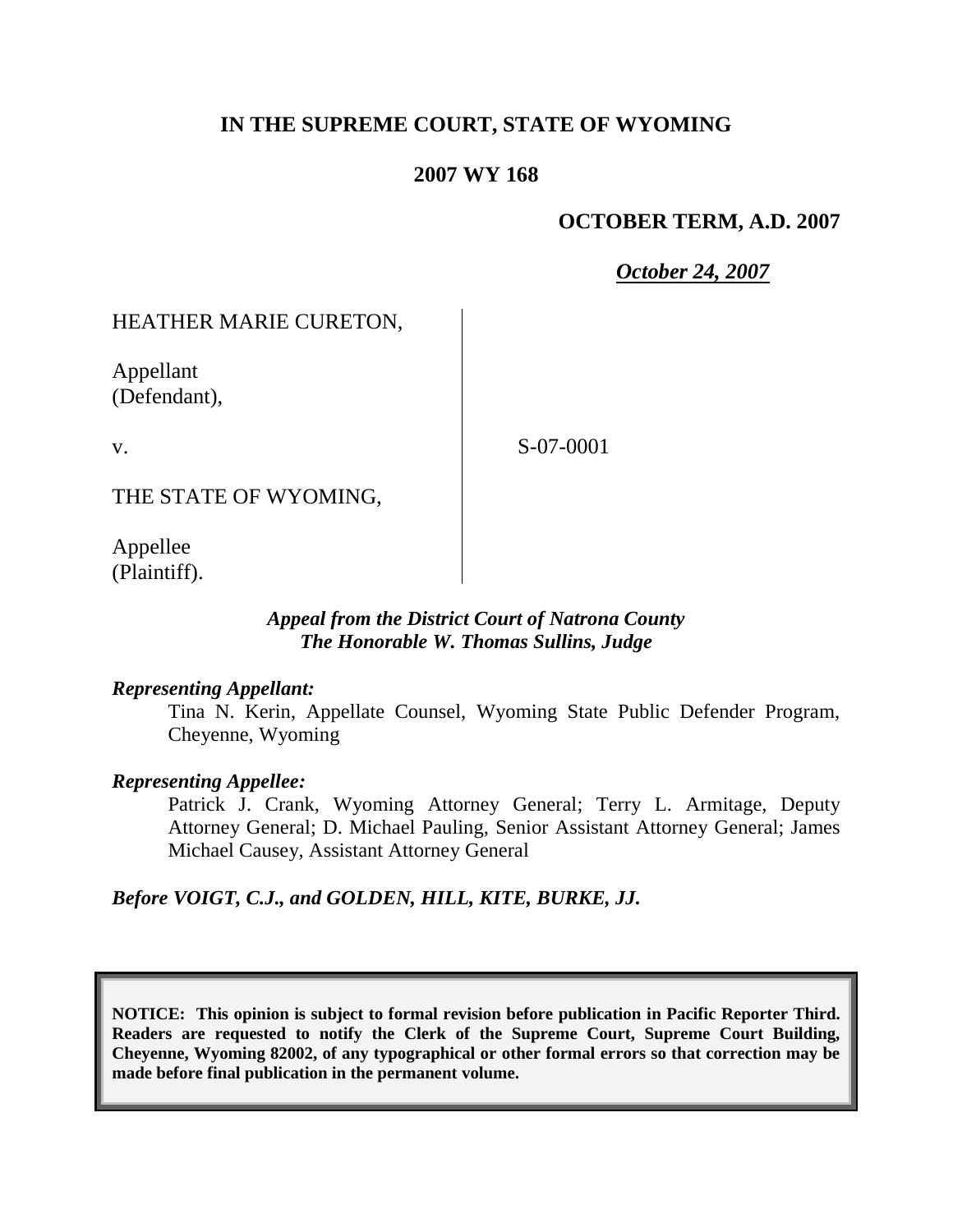# **IN THE SUPREME COURT, STATE OF WYOMING**

## **2007 WY 168**

## **OCTOBER TERM, A.D. 2007**

*October 24, 2007*

## HEATHER MARIE CURETON,

Appellant (Defendant),

v.

S-07-0001

THE STATE OF WYOMING,

Appellee (Plaintiff).

### *Appeal from the District Court of Natrona County The Honorable W. Thomas Sullins, Judge*

### *Representing Appellant:*

Tina N. Kerin, Appellate Counsel, Wyoming State Public Defender Program, Cheyenne, Wyoming

### *Representing Appellee:*

Patrick J. Crank, Wyoming Attorney General; Terry L. Armitage, Deputy Attorney General; D. Michael Pauling, Senior Assistant Attorney General; James Michael Causey, Assistant Attorney General

### *Before VOIGT, C.J., and GOLDEN, HILL, KITE, BURKE, JJ.*

**NOTICE: This opinion is subject to formal revision before publication in Pacific Reporter Third. Readers are requested to notify the Clerk of the Supreme Court, Supreme Court Building, Cheyenne, Wyoming 82002, of any typographical or other formal errors so that correction may be made before final publication in the permanent volume.**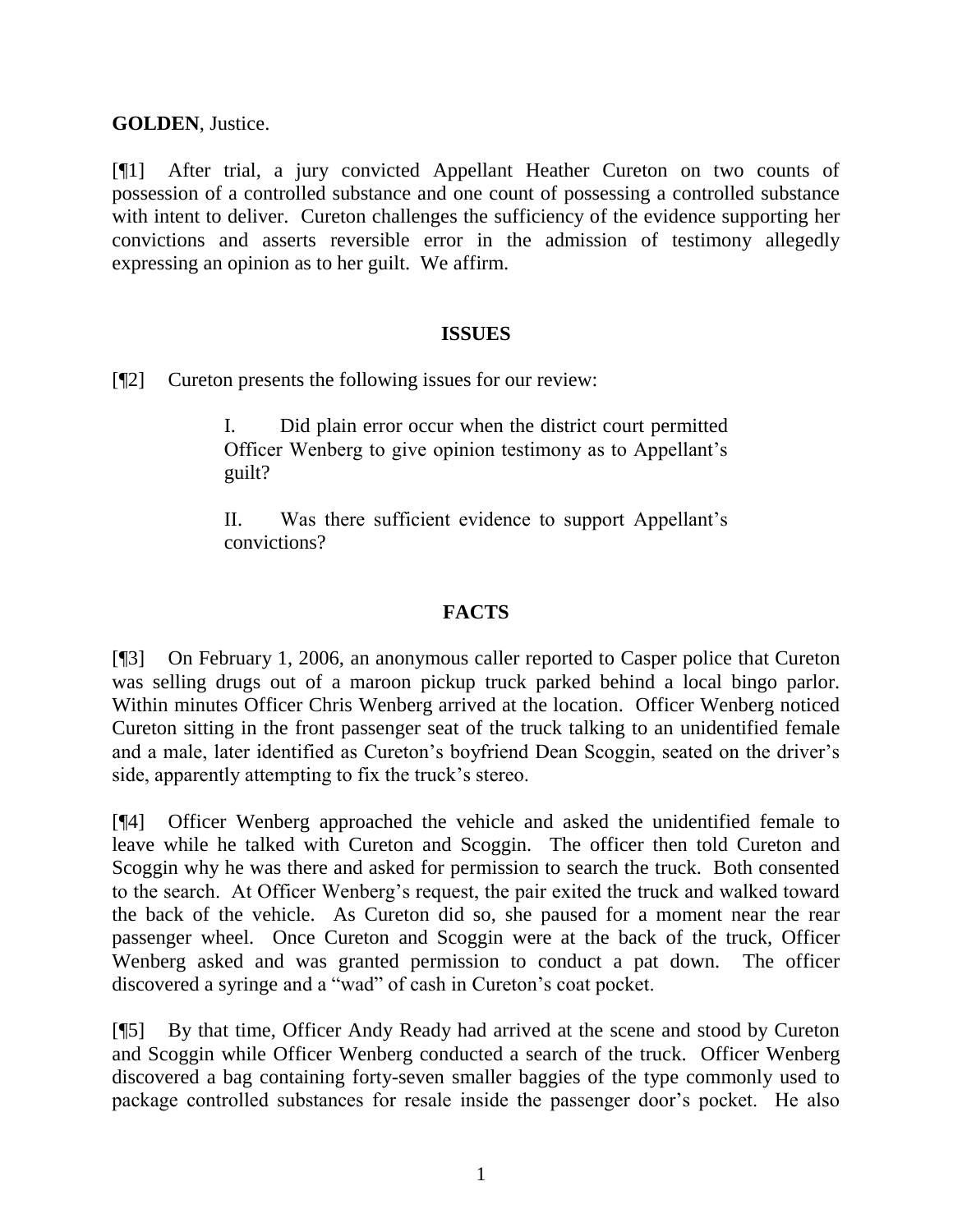**GOLDEN**, Justice.

[¶1] After trial, a jury convicted Appellant Heather Cureton on two counts of possession of a controlled substance and one count of possessing a controlled substance with intent to deliver. Cureton challenges the sufficiency of the evidence supporting her convictions and asserts reversible error in the admission of testimony allegedly expressing an opinion as to her guilt. We affirm.

### **ISSUES**

[¶2] Cureton presents the following issues for our review:

I. Did plain error occur when the district court permitted Officer Wenberg to give opinion testimony as to Appellant's guilt?

II. Was there sufficient evidence to support Appellant's convictions?

### **FACTS**

[¶3] On February 1, 2006, an anonymous caller reported to Casper police that Cureton was selling drugs out of a maroon pickup truck parked behind a local bingo parlor. Within minutes Officer Chris Wenberg arrived at the location. Officer Wenberg noticed Cureton sitting in the front passenger seat of the truck talking to an unidentified female and a male, later identified as Cureton's boyfriend Dean Scoggin, seated on the driver's side, apparently attempting to fix the truck's stereo.

[¶4] Officer Wenberg approached the vehicle and asked the unidentified female to leave while he talked with Cureton and Scoggin. The officer then told Cureton and Scoggin why he was there and asked for permission to search the truck. Both consented to the search. At Officer Wenberg's request, the pair exited the truck and walked toward the back of the vehicle. As Cureton did so, she paused for a moment near the rear passenger wheel. Once Cureton and Scoggin were at the back of the truck, Officer Wenberg asked and was granted permission to conduct a pat down. The officer discovered a syringe and a "wad" of cash in Cureton's coat pocket.

[¶5] By that time, Officer Andy Ready had arrived at the scene and stood by Cureton and Scoggin while Officer Wenberg conducted a search of the truck. Officer Wenberg discovered a bag containing forty-seven smaller baggies of the type commonly used to package controlled substances for resale inside the passenger door's pocket. He also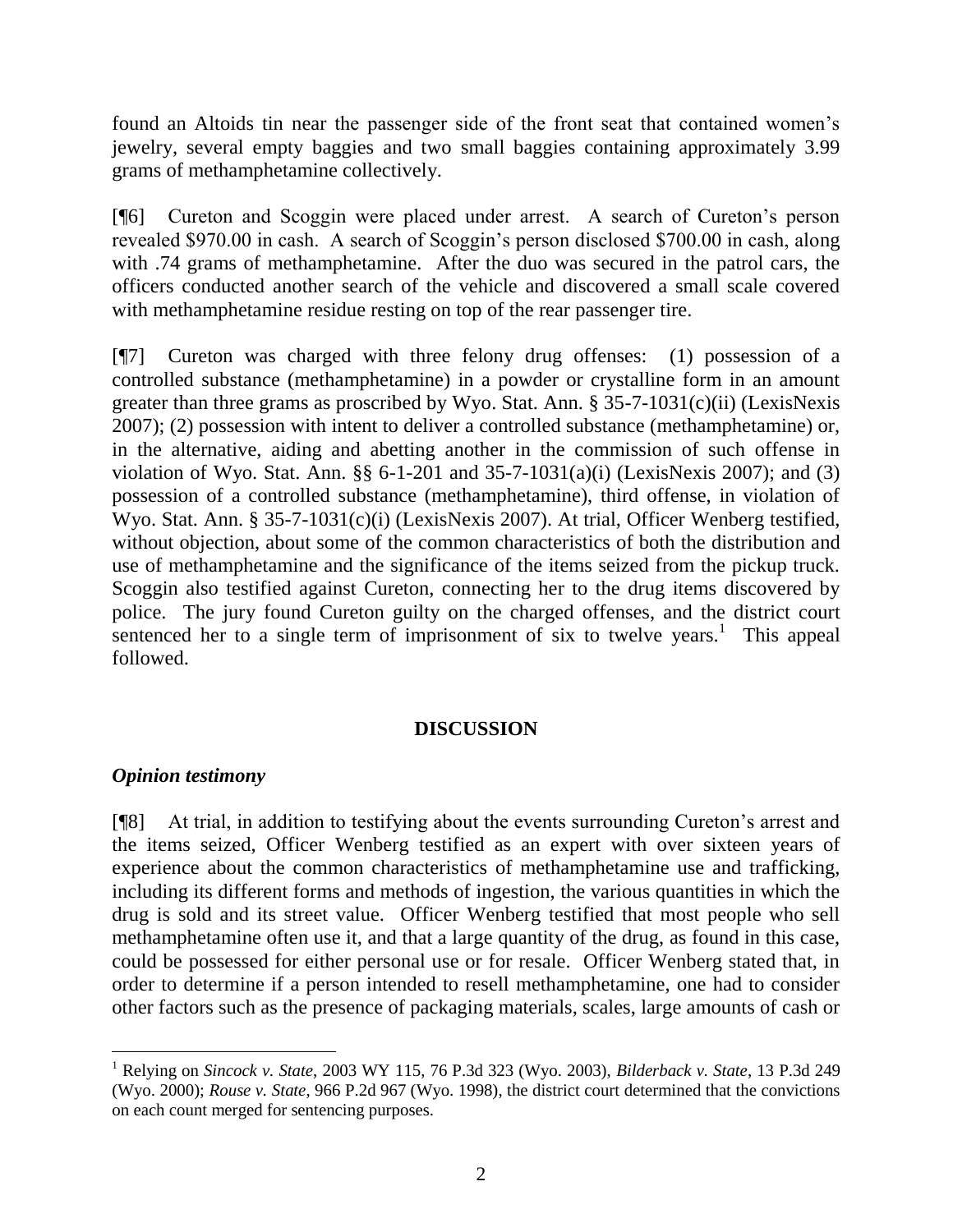found an Altoids tin near the passenger side of the front seat that contained women's jewelry, several empty baggies and two small baggies containing approximately 3.99 grams of methamphetamine collectively.

[¶6] Cureton and Scoggin were placed under arrest. A search of Cureton's person revealed \$970.00 in cash. A search of Scoggin's person disclosed \$700.00 in cash, along with .74 grams of methamphetamine. After the duo was secured in the patrol cars, the officers conducted another search of the vehicle and discovered a small scale covered with methamphetamine residue resting on top of the rear passenger tire.

[¶7] Cureton was charged with three felony drug offenses: (1) possession of a controlled substance (methamphetamine) in a powder or crystalline form in an amount greater than three grams as proscribed by Wyo. Stat. Ann. § 35-7-1031(c)(ii) (LexisNexis 2007); (2) possession with intent to deliver a controlled substance (methamphetamine) or, in the alternative, aiding and abetting another in the commission of such offense in violation of Wyo. Stat. Ann. §§ 6-1-201 and 35-7-1031(a)(i) (LexisNexis 2007); and (3) possession of a controlled substance (methamphetamine), third offense, in violation of Wyo. Stat. Ann. § 35-7-1031(c)(i) (LexisNexis 2007). At trial, Officer Wenberg testified, without objection, about some of the common characteristics of both the distribution and use of methamphetamine and the significance of the items seized from the pickup truck. Scoggin also testified against Cureton, connecting her to the drug items discovered by police. The jury found Cureton guilty on the charged offenses, and the district court sentenced her to a single term of imprisonment of six to twelve years.<sup>1</sup> This appeal followed.

### **DISCUSSION**

### *Opinion testimony*

[¶8] At trial, in addition to testifying about the events surrounding Cureton's arrest and the items seized, Officer Wenberg testified as an expert with over sixteen years of experience about the common characteristics of methamphetamine use and trafficking, including its different forms and methods of ingestion, the various quantities in which the drug is sold and its street value. Officer Wenberg testified that most people who sell methamphetamine often use it, and that a large quantity of the drug, as found in this case, could be possessed for either personal use or for resale. Officer Wenberg stated that, in order to determine if a person intended to resell methamphetamine, one had to consider other factors such as the presence of packaging materials, scales, large amounts of cash or

<sup>1</sup> Relying on *Sincock v. State*, 2003 WY 115, 76 P.3d 323 (Wyo. 2003), *Bilderback v. State*, 13 P.3d 249 (Wyo. 2000); *Rouse v. State*, 966 P.2d 967 (Wyo. 1998), the district court determined that the convictions on each count merged for sentencing purposes.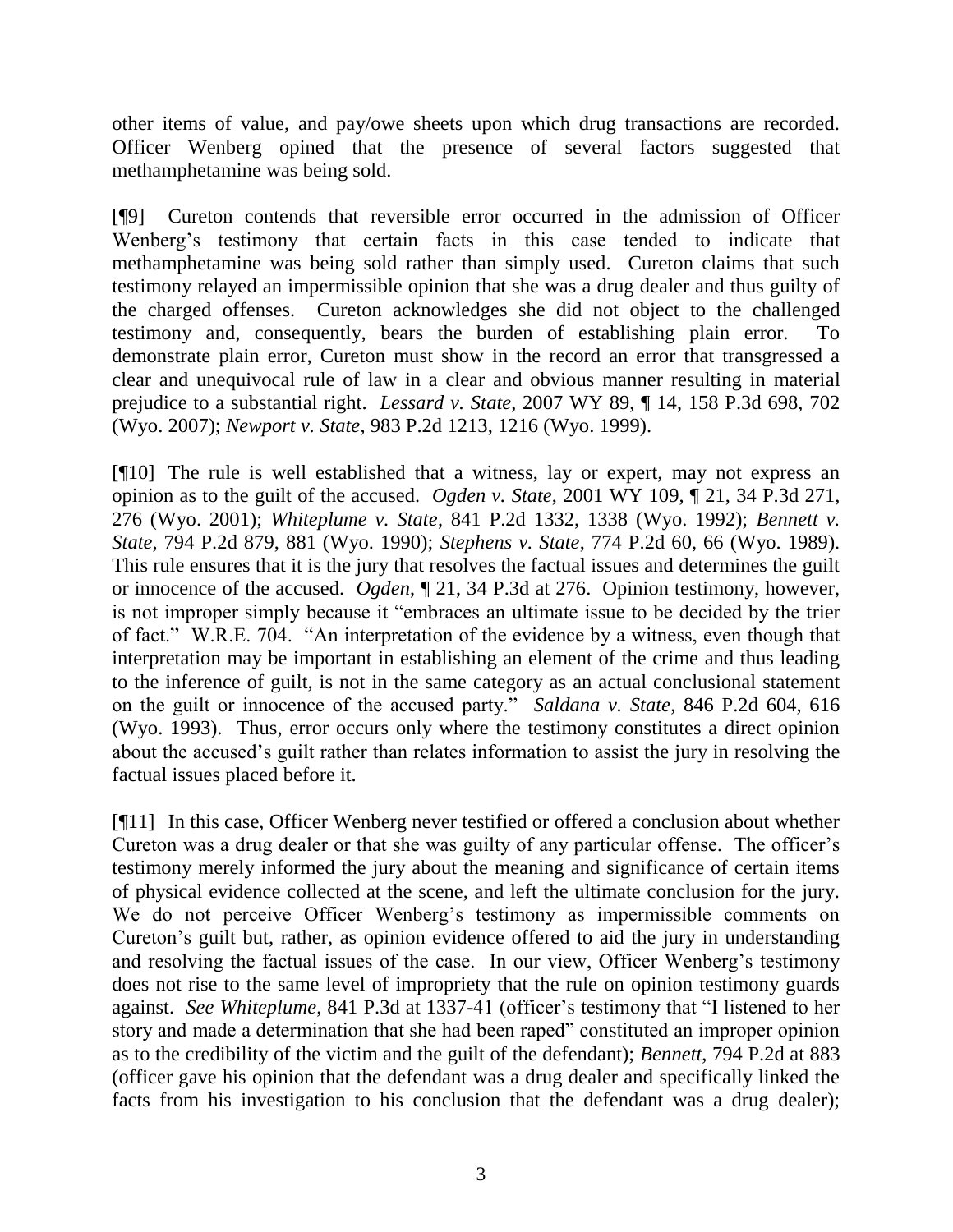other items of value, and pay/owe sheets upon which drug transactions are recorded. Officer Wenberg opined that the presence of several factors suggested that methamphetamine was being sold.

[¶9] Cureton contends that reversible error occurred in the admission of Officer Wenberg's testimony that certain facts in this case tended to indicate that methamphetamine was being sold rather than simply used. Cureton claims that such testimony relayed an impermissible opinion that she was a drug dealer and thus guilty of the charged offenses. Cureton acknowledges she did not object to the challenged testimony and, consequently, bears the burden of establishing plain error. To demonstrate plain error, Cureton must show in the record an error that transgressed a clear and unequivocal rule of law in a clear and obvious manner resulting in material prejudice to a substantial right. *Lessard v. State*, 2007 WY 89, ¶ 14, 158 P.3d 698, 702 (Wyo. 2007); *Newport v. State*, 983 P.2d 1213, 1216 (Wyo. 1999).

[¶10] The rule is well established that a witness, lay or expert, may not express an opinion as to the guilt of the accused. *Ogden v. State*, 2001 WY 109, ¶ 21, 34 P.3d 271, 276 (Wyo. 2001); *Whiteplume v. State*, 841 P.2d 1332, 1338 (Wyo. 1992); *Bennett v. State*, 794 P.2d 879, 881 (Wyo. 1990); *Stephens v. State*, 774 P.2d 60, 66 (Wyo. 1989). This rule ensures that it is the jury that resolves the factual issues and determines the guilt or innocence of the accused. *Ogden*, ¶ 21, 34 P.3d at 276. Opinion testimony, however, is not improper simply because it "embraces an ultimate issue to be decided by the trier of fact." W.R.E. 704. "An interpretation of the evidence by a witness, even though that interpretation may be important in establishing an element of the crime and thus leading to the inference of guilt, is not in the same category as an actual conclusional statement on the guilt or innocence of the accused party." *Saldana v. State*, 846 P.2d 604, 616 (Wyo. 1993). Thus, error occurs only where the testimony constitutes a direct opinion about the accused's guilt rather than relates information to assist the jury in resolving the factual issues placed before it.

[¶11] In this case, Officer Wenberg never testified or offered a conclusion about whether Cureton was a drug dealer or that she was guilty of any particular offense. The officer's testimony merely informed the jury about the meaning and significance of certain items of physical evidence collected at the scene, and left the ultimate conclusion for the jury. We do not perceive Officer Wenberg's testimony as impermissible comments on Cureton's guilt but, rather, as opinion evidence offered to aid the jury in understanding and resolving the factual issues of the case. In our view, Officer Wenberg's testimony does not rise to the same level of impropriety that the rule on opinion testimony guards against. *See Whiteplume*, 841 P.3d at 1337-41 (officer's testimony that "I listened to her story and made a determination that she had been raped" constituted an improper opinion as to the credibility of the victim and the guilt of the defendant); *Bennett*, 794 P.2d at 883 (officer gave his opinion that the defendant was a drug dealer and specifically linked the facts from his investigation to his conclusion that the defendant was a drug dealer);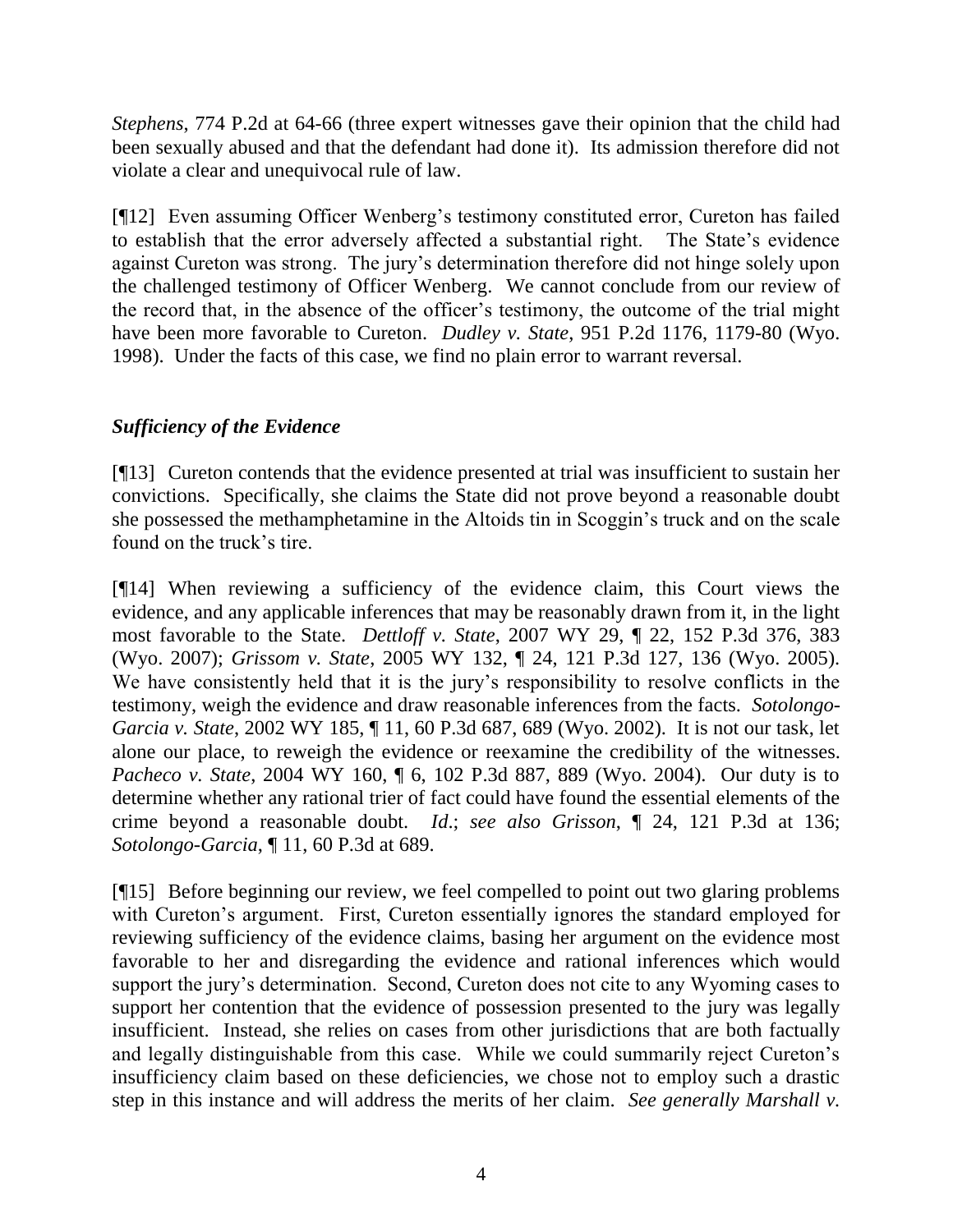*Stephens*, 774 P.2d at 64-66 (three expert witnesses gave their opinion that the child had been sexually abused and that the defendant had done it). Its admission therefore did not violate a clear and unequivocal rule of law.

[¶12] Even assuming Officer Wenberg's testimony constituted error, Cureton has failed to establish that the error adversely affected a substantial right. The State's evidence against Cureton was strong. The jury's determination therefore did not hinge solely upon the challenged testimony of Officer Wenberg. We cannot conclude from our review of the record that, in the absence of the officer's testimony, the outcome of the trial might have been more favorable to Cureton. *Dudley v. State*, 951 P.2d 1176, 1179-80 (Wyo. 1998). Under the facts of this case, we find no plain error to warrant reversal.

# *Sufficiency of the Evidence*

[¶13] Cureton contends that the evidence presented at trial was insufficient to sustain her convictions. Specifically, she claims the State did not prove beyond a reasonable doubt she possessed the methamphetamine in the Altoids tin in Scoggin's truck and on the scale found on the truck's tire.

[¶14] When reviewing a sufficiency of the evidence claim, this Court views the evidence, and any applicable inferences that may be reasonably drawn from it, in the light most favorable to the State. *Dettloff v. State*, 2007 WY 29, ¶ 22, 152 P.3d 376, 383 (Wyo. 2007); *Grissom v. State*, 2005 WY 132, ¶ 24, 121 P.3d 127, 136 (Wyo. 2005). We have consistently held that it is the jury's responsibility to resolve conflicts in the testimony, weigh the evidence and draw reasonable inferences from the facts. *Sotolongo-Garcia v. State*, 2002 WY 185, ¶ 11, 60 P.3d 687, 689 (Wyo. 2002). It is not our task, let alone our place, to reweigh the evidence or reexamine the credibility of the witnesses. *Pacheco v. State*, 2004 WY 160, ¶ 6, 102 P.3d 887, 889 (Wyo. 2004). Our duty is to determine whether any rational trier of fact could have found the essential elements of the crime beyond a reasonable doubt. *Id*.; *see also Grisson*, ¶ 24, 121 P.3d at 136; *Sotolongo-Garcia*, ¶ 11, 60 P.3d at 689.

[¶15] Before beginning our review, we feel compelled to point out two glaring problems with Cureton's argument. First, Cureton essentially ignores the standard employed for reviewing sufficiency of the evidence claims, basing her argument on the evidence most favorable to her and disregarding the evidence and rational inferences which would support the jury's determination. Second, Cureton does not cite to any Wyoming cases to support her contention that the evidence of possession presented to the jury was legally insufficient. Instead, she relies on cases from other jurisdictions that are both factually and legally distinguishable from this case. While we could summarily reject Cureton's insufficiency claim based on these deficiencies, we chose not to employ such a drastic step in this instance and will address the merits of her claim. *See generally Marshall v.*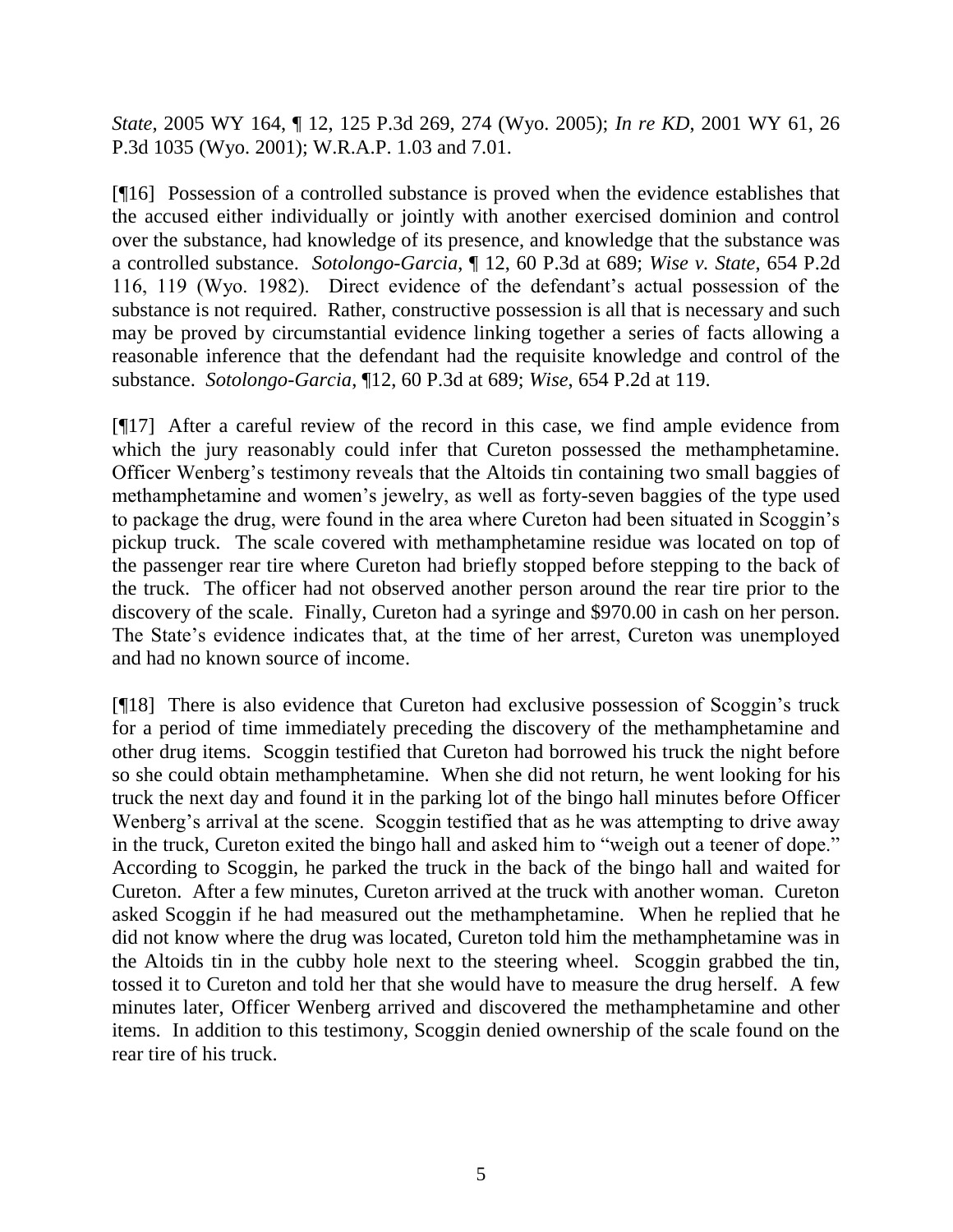*State*, 2005 WY 164, ¶ 12, 125 P.3d 269, 274 (Wyo. 2005); *In re KD*, 2001 WY 61, 26 P.3d 1035 (Wyo. 2001); W.R.A.P. 1.03 and 7.01.

[¶16] Possession of a controlled substance is proved when the evidence establishes that the accused either individually or jointly with another exercised dominion and control over the substance, had knowledge of its presence, and knowledge that the substance was a controlled substance. *Sotolongo-Garcia*, ¶ 12, 60 P.3d at 689; *Wise v. State*, 654 P.2d 116, 119 (Wyo. 1982). Direct evidence of the defendant's actual possession of the substance is not required. Rather, constructive possession is all that is necessary and such may be proved by circumstantial evidence linking together a series of facts allowing a reasonable inference that the defendant had the requisite knowledge and control of the substance. *Sotolongo-Garcia*, ¶12, 60 P.3d at 689; *Wise*, 654 P.2d at 119.

[¶17] After a careful review of the record in this case, we find ample evidence from which the jury reasonably could infer that Cureton possessed the methamphetamine. Officer Wenberg's testimony reveals that the Altoids tin containing two small baggies of methamphetamine and women's jewelry, as well as forty-seven baggies of the type used to package the drug, were found in the area where Cureton had been situated in Scoggin's pickup truck. The scale covered with methamphetamine residue was located on top of the passenger rear tire where Cureton had briefly stopped before stepping to the back of the truck. The officer had not observed another person around the rear tire prior to the discovery of the scale. Finally, Cureton had a syringe and \$970.00 in cash on her person. The State's evidence indicates that, at the time of her arrest, Cureton was unemployed and had no known source of income.

[¶18] There is also evidence that Cureton had exclusive possession of Scoggin's truck for a period of time immediately preceding the discovery of the methamphetamine and other drug items. Scoggin testified that Cureton had borrowed his truck the night before so she could obtain methamphetamine. When she did not return, he went looking for his truck the next day and found it in the parking lot of the bingo hall minutes before Officer Wenberg's arrival at the scene. Scoggin testified that as he was attempting to drive away in the truck, Cureton exited the bingo hall and asked him to "weigh out a teener of dope." According to Scoggin, he parked the truck in the back of the bingo hall and waited for Cureton. After a few minutes, Cureton arrived at the truck with another woman. Cureton asked Scoggin if he had measured out the methamphetamine. When he replied that he did not know where the drug was located, Cureton told him the methamphetamine was in the Altoids tin in the cubby hole next to the steering wheel. Scoggin grabbed the tin, tossed it to Cureton and told her that she would have to measure the drug herself. A few minutes later, Officer Wenberg arrived and discovered the methamphetamine and other items. In addition to this testimony, Scoggin denied ownership of the scale found on the rear tire of his truck.